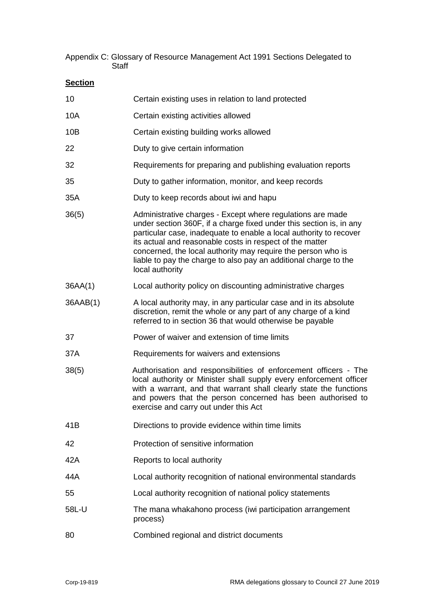Appendix C: Glossary of Resource Management Act 1991 Sections Delegated to **Staff** 

| Certain existing uses in relation to land protected                                                                                                                                                                                                                                                                                                                                                                        |
|----------------------------------------------------------------------------------------------------------------------------------------------------------------------------------------------------------------------------------------------------------------------------------------------------------------------------------------------------------------------------------------------------------------------------|
| Certain existing activities allowed                                                                                                                                                                                                                                                                                                                                                                                        |
| Certain existing building works allowed                                                                                                                                                                                                                                                                                                                                                                                    |
| Duty to give certain information                                                                                                                                                                                                                                                                                                                                                                                           |
| Requirements for preparing and publishing evaluation reports                                                                                                                                                                                                                                                                                                                                                               |
| Duty to gather information, monitor, and keep records                                                                                                                                                                                                                                                                                                                                                                      |
| Duty to keep records about iwi and hapu                                                                                                                                                                                                                                                                                                                                                                                    |
| Administrative charges - Except where regulations are made<br>under section 360F, if a charge fixed under this section is, in any<br>particular case, inadequate to enable a local authority to recover<br>its actual and reasonable costs in respect of the matter<br>concerned, the local authority may require the person who is<br>liable to pay the charge to also pay an additional charge to the<br>local authority |
| Local authority policy on discounting administrative charges                                                                                                                                                                                                                                                                                                                                                               |
| A local authority may, in any particular case and in its absolute<br>discretion, remit the whole or any part of any charge of a kind<br>referred to in section 36 that would otherwise be payable                                                                                                                                                                                                                          |
| Power of waiver and extension of time limits                                                                                                                                                                                                                                                                                                                                                                               |
| Requirements for waivers and extensions                                                                                                                                                                                                                                                                                                                                                                                    |
| Authorisation and responsibilities of enforcement officers - The<br>local authority or Minister shall supply every enforcement officer<br>with a warrant, and that warrant shall clearly state the functions<br>and powers that the person concerned has been authorised to<br>exercise and carry out under this Act                                                                                                       |
| Directions to provide evidence within time limits                                                                                                                                                                                                                                                                                                                                                                          |
| Protection of sensitive information                                                                                                                                                                                                                                                                                                                                                                                        |
| Reports to local authority                                                                                                                                                                                                                                                                                                                                                                                                 |
| Local authority recognition of national environmental standards                                                                                                                                                                                                                                                                                                                                                            |
| Local authority recognition of national policy statements                                                                                                                                                                                                                                                                                                                                                                  |
| The mana whakahono process (iwi participation arrangement<br>process)                                                                                                                                                                                                                                                                                                                                                      |
| Combined regional and district documents                                                                                                                                                                                                                                                                                                                                                                                   |
|                                                                                                                                                                                                                                                                                                                                                                                                                            |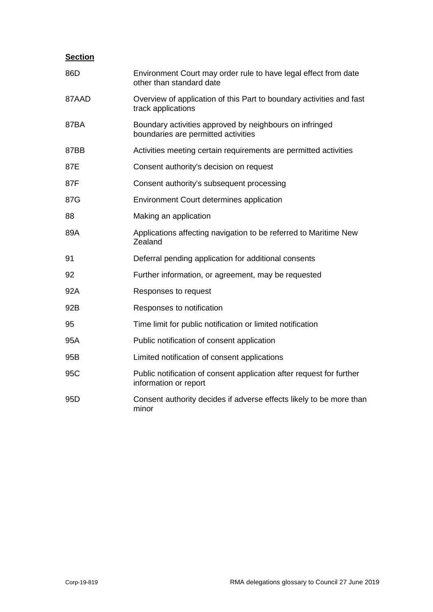| 86D             | Environment Court may order rule to have legal effect from date<br>other than standard date    |
|-----------------|------------------------------------------------------------------------------------------------|
| 87AAD           | Overview of application of this Part to boundary activities and fast<br>track applications     |
| 87BA            | Boundary activities approved by neighbours on infringed<br>boundaries are permitted activities |
| 87BB            | Activities meeting certain requirements are permitted activities                               |
| 87E             | Consent authority's decision on request                                                        |
| 87F             | Consent authority's subsequent processing                                                      |
| 87G             | Environment Court determines application                                                       |
| 88              | Making an application                                                                          |
| 89A             | Applications affecting navigation to be referred to Maritime New<br>Zealand                    |
| 91              | Deferral pending application for additional consents                                           |
| 92              | Further information, or agreement, may be requested                                            |
| 92A             | Responses to request                                                                           |
| 92B             | Responses to notification                                                                      |
| 95              | Time limit for public notification or limited notification                                     |
| 95A             | Public notification of consent application                                                     |
| 95B             | Limited notification of consent applications                                                   |
| 95C             | Public notification of consent application after request for further<br>information or report  |
| 95 <sub>D</sub> | Consent authority decides if adverse effects likely to be more than<br>minor                   |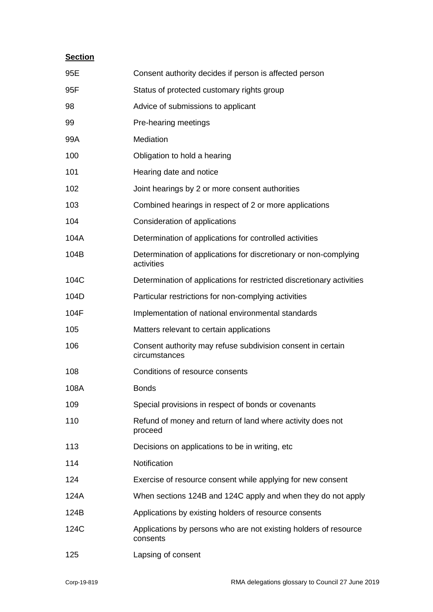| 95E  | Consent authority decides if person is affected person                         |
|------|--------------------------------------------------------------------------------|
| 95F  | Status of protected customary rights group                                     |
| 98   | Advice of submissions to applicant                                             |
| 99   | Pre-hearing meetings                                                           |
| 99A  | Mediation                                                                      |
| 100  | Obligation to hold a hearing                                                   |
| 101  | Hearing date and notice                                                        |
| 102  | Joint hearings by 2 or more consent authorities                                |
| 103  | Combined hearings in respect of 2 or more applications                         |
| 104  | Consideration of applications                                                  |
| 104A | Determination of applications for controlled activities                        |
| 104B | Determination of applications for discretionary or non-complying<br>activities |
| 104C | Determination of applications for restricted discretionary activities          |
| 104D | Particular restrictions for non-complying activities                           |
| 104F | Implementation of national environmental standards                             |
| 105  | Matters relevant to certain applications                                       |
| 106  | Consent authority may refuse subdivision consent in certain<br>circumstances   |
| 108  | Conditions of resource consents                                                |
| 108A | <b>Bonds</b>                                                                   |
| 109  | Special provisions in respect of bonds or covenants                            |
| 110  | Refund of money and return of land where activity does not<br>proceed          |
| 113  | Decisions on applications to be in writing, etc.                               |
| 114  | Notification                                                                   |
| 124  | Exercise of resource consent while applying for new consent                    |
| 124A | When sections 124B and 124C apply and when they do not apply                   |
| 124B | Applications by existing holders of resource consents                          |
| 124C | Applications by persons who are not existing holders of resource<br>consents   |
| 125  | Lapsing of consent                                                             |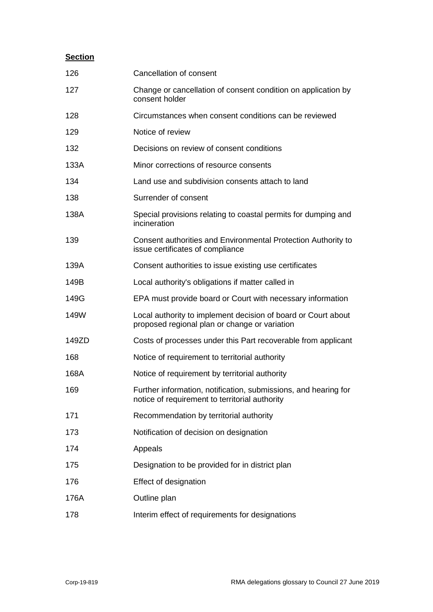| 126   | Cancellation of consent                                                                                           |
|-------|-------------------------------------------------------------------------------------------------------------------|
| 127   | Change or cancellation of consent condition on application by<br>consent holder                                   |
| 128   | Circumstances when consent conditions can be reviewed                                                             |
| 129   | Notice of review                                                                                                  |
| 132   | Decisions on review of consent conditions                                                                         |
| 133A  | Minor corrections of resource consents                                                                            |
| 134   | Land use and subdivision consents attach to land                                                                  |
| 138   | Surrender of consent                                                                                              |
| 138A  | Special provisions relating to coastal permits for dumping and<br>incineration                                    |
| 139   | Consent authorities and Environmental Protection Authority to<br>issue certificates of compliance                 |
| 139A  | Consent authorities to issue existing use certificates                                                            |
| 149B  | Local authority's obligations if matter called in                                                                 |
| 149G  | EPA must provide board or Court with necessary information                                                        |
| 149W  | Local authority to implement decision of board or Court about<br>proposed regional plan or change or variation    |
| 149ZD | Costs of processes under this Part recoverable from applicant                                                     |
| 168   | Notice of requirement to territorial authority                                                                    |
| 168A  | Notice of requirement by territorial authority                                                                    |
| 169   | Further information, notification, submissions, and hearing for<br>notice of requirement to territorial authority |
| 171   | Recommendation by territorial authority                                                                           |
| 173   | Notification of decision on designation                                                                           |
| 174   | Appeals                                                                                                           |
| 175   | Designation to be provided for in district plan                                                                   |
| 176   | Effect of designation                                                                                             |
| 176A  | Outline plan                                                                                                      |
| 178   | Interim effect of requirements for designations                                                                   |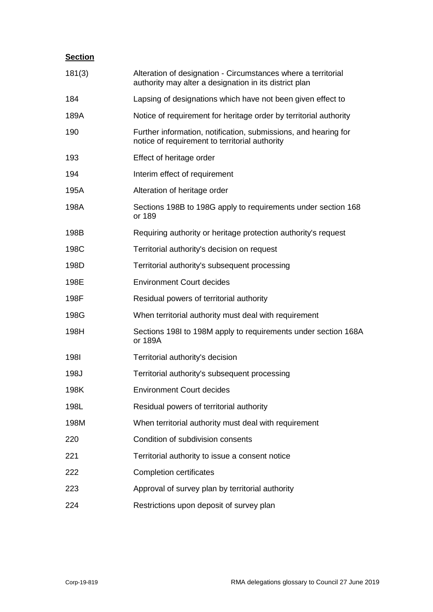| 181(3)      | Alteration of designation - Circumstances where a territorial<br>authority may alter a designation in its district plan |
|-------------|-------------------------------------------------------------------------------------------------------------------------|
| 184         | Lapsing of designations which have not been given effect to                                                             |
| 189A        | Notice of requirement for heritage order by territorial authority                                                       |
| 190         | Further information, notification, submissions, and hearing for<br>notice of requirement to territorial authority       |
| 193         | Effect of heritage order                                                                                                |
| 194         | Interim effect of requirement                                                                                           |
| 195A        | Alteration of heritage order                                                                                            |
| 198A        | Sections 198B to 198G apply to requirements under section 168<br>or 189                                                 |
| 198B        | Requiring authority or heritage protection authority's request                                                          |
| 198C        | Territorial authority's decision on request                                                                             |
| 198D        | Territorial authority's subsequent processing                                                                           |
| 198E        | <b>Environment Court decides</b>                                                                                        |
| 198F        | Residual powers of territorial authority                                                                                |
| 198G        | When territorial authority must deal with requirement                                                                   |
| 198H        | Sections 1981 to 198M apply to requirements under section 168A<br>or 189A                                               |
| <b>1981</b> | Territorial authority's decision                                                                                        |
| 198J        | Territorial authority's subsequent processing                                                                           |
| 198K        | <b>Environment Court decides</b>                                                                                        |
| 198L        | Residual powers of territorial authority                                                                                |
| 198M        | When territorial authority must deal with requirement                                                                   |
| 220         | Condition of subdivision consents                                                                                       |
| 221         | Territorial authority to issue a consent notice                                                                         |
| 222         | <b>Completion certificates</b>                                                                                          |
| 223         | Approval of survey plan by territorial authority                                                                        |
| 224         | Restrictions upon deposit of survey plan                                                                                |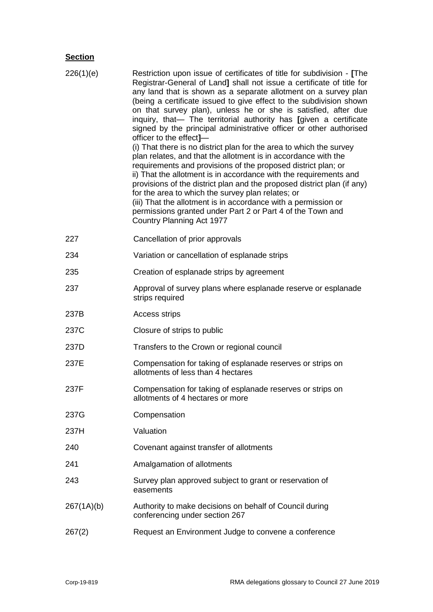| 226(1)(e)  | Restriction upon issue of certificates of title for subdivision - [The<br>Registrar-General of Land] shall not issue a certificate of title for<br>any land that is shown as a separate allotment on a survey plan<br>(being a certificate issued to give effect to the subdivision shown<br>on that survey plan), unless he or she is satisfied, after due<br>inquiry, that- The territorial authority has [given a certificate<br>signed by the principal administrative officer or other authorised<br>officer to the effect]-<br>(i) That there is no district plan for the area to which the survey<br>plan relates, and that the allotment is in accordance with the<br>requirements and provisions of the proposed district plan; or<br>ii) That the allotment is in accordance with the requirements and<br>provisions of the district plan and the proposed district plan (if any)<br>for the area to which the survey plan relates; or<br>(iii) That the allotment is in accordance with a permission or<br>permissions granted under Part 2 or Part 4 of the Town and<br>Country Planning Act 1977 |
|------------|---------------------------------------------------------------------------------------------------------------------------------------------------------------------------------------------------------------------------------------------------------------------------------------------------------------------------------------------------------------------------------------------------------------------------------------------------------------------------------------------------------------------------------------------------------------------------------------------------------------------------------------------------------------------------------------------------------------------------------------------------------------------------------------------------------------------------------------------------------------------------------------------------------------------------------------------------------------------------------------------------------------------------------------------------------------------------------------------------------------|
| 227        | Cancellation of prior approvals                                                                                                                                                                                                                                                                                                                                                                                                                                                                                                                                                                                                                                                                                                                                                                                                                                                                                                                                                                                                                                                                               |
| 234        | Variation or cancellation of esplanade strips                                                                                                                                                                                                                                                                                                                                                                                                                                                                                                                                                                                                                                                                                                                                                                                                                                                                                                                                                                                                                                                                 |
| 235        | Creation of esplanade strips by agreement                                                                                                                                                                                                                                                                                                                                                                                                                                                                                                                                                                                                                                                                                                                                                                                                                                                                                                                                                                                                                                                                     |
| 237        | Approval of survey plans where esplanade reserve or esplanade<br>strips required                                                                                                                                                                                                                                                                                                                                                                                                                                                                                                                                                                                                                                                                                                                                                                                                                                                                                                                                                                                                                              |
| 237B       | <b>Access strips</b>                                                                                                                                                                                                                                                                                                                                                                                                                                                                                                                                                                                                                                                                                                                                                                                                                                                                                                                                                                                                                                                                                          |
| 237C       | Closure of strips to public                                                                                                                                                                                                                                                                                                                                                                                                                                                                                                                                                                                                                                                                                                                                                                                                                                                                                                                                                                                                                                                                                   |
| 237D       | Transfers to the Crown or regional council                                                                                                                                                                                                                                                                                                                                                                                                                                                                                                                                                                                                                                                                                                                                                                                                                                                                                                                                                                                                                                                                    |
| 237E       | Compensation for taking of esplanade reserves or strips on<br>allotments of less than 4 hectares                                                                                                                                                                                                                                                                                                                                                                                                                                                                                                                                                                                                                                                                                                                                                                                                                                                                                                                                                                                                              |
| 237F       | Compensation for taking of esplanade reserves or strips on<br>allotments of 4 hectares or more                                                                                                                                                                                                                                                                                                                                                                                                                                                                                                                                                                                                                                                                                                                                                                                                                                                                                                                                                                                                                |
| 237G       | Compensation                                                                                                                                                                                                                                                                                                                                                                                                                                                                                                                                                                                                                                                                                                                                                                                                                                                                                                                                                                                                                                                                                                  |
| 237H       | Valuation                                                                                                                                                                                                                                                                                                                                                                                                                                                                                                                                                                                                                                                                                                                                                                                                                                                                                                                                                                                                                                                                                                     |
| 240        | Covenant against transfer of allotments                                                                                                                                                                                                                                                                                                                                                                                                                                                                                                                                                                                                                                                                                                                                                                                                                                                                                                                                                                                                                                                                       |
| 241        | Amalgamation of allotments                                                                                                                                                                                                                                                                                                                                                                                                                                                                                                                                                                                                                                                                                                                                                                                                                                                                                                                                                                                                                                                                                    |
| 243        | Survey plan approved subject to grant or reservation of<br>easements                                                                                                                                                                                                                                                                                                                                                                                                                                                                                                                                                                                                                                                                                                                                                                                                                                                                                                                                                                                                                                          |
| 267(1A)(b) | Authority to make decisions on behalf of Council during<br>conferencing under section 267                                                                                                                                                                                                                                                                                                                                                                                                                                                                                                                                                                                                                                                                                                                                                                                                                                                                                                                                                                                                                     |
| 267(2)     | Request an Environment Judge to convene a conference                                                                                                                                                                                                                                                                                                                                                                                                                                                                                                                                                                                                                                                                                                                                                                                                                                                                                                                                                                                                                                                          |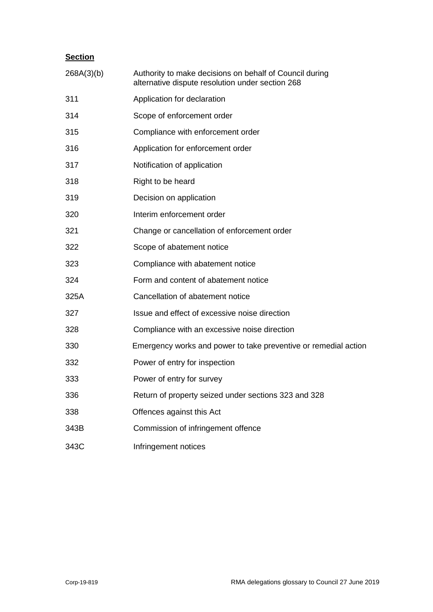| 268A(3)(b) | Authority to make decisions on behalf of Council during<br>alternative dispute resolution under section 268 |
|------------|-------------------------------------------------------------------------------------------------------------|
| 311        | Application for declaration                                                                                 |
| 314        | Scope of enforcement order                                                                                  |
| 315        | Compliance with enforcement order                                                                           |
| 316        | Application for enforcement order                                                                           |
| 317        | Notification of application                                                                                 |
| 318        | Right to be heard                                                                                           |
| 319        | Decision on application                                                                                     |
| 320        | Interim enforcement order                                                                                   |
| 321        | Change or cancellation of enforcement order                                                                 |
| 322        | Scope of abatement notice                                                                                   |
| 323        | Compliance with abatement notice                                                                            |
| 324        | Form and content of abatement notice                                                                        |
| 325A       | Cancellation of abatement notice                                                                            |
| 327        | Issue and effect of excessive noise direction                                                               |
| 328        | Compliance with an excessive noise direction                                                                |
| 330        | Emergency works and power to take preventive or remedial action                                             |
| 332        | Power of entry for inspection                                                                               |
| 333        | Power of entry for survey                                                                                   |
| 336        | Return of property seized under sections 323 and 328                                                        |
| 338        | Offences against this Act                                                                                   |
| 343B       | Commission of infringement offence                                                                          |
| 343C       | Infringement notices                                                                                        |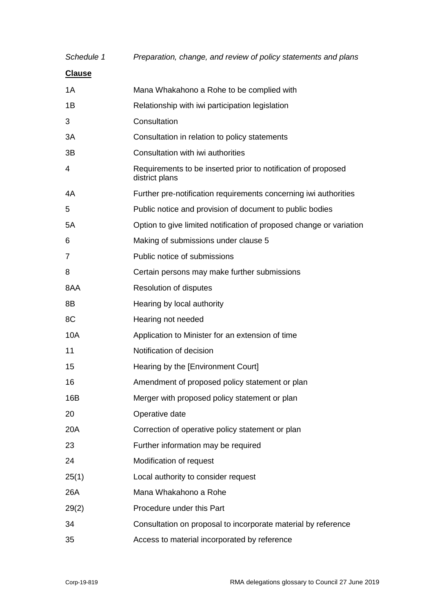| Schedule 1    | Preparation, change, and review of policy statements and plans                  |
|---------------|---------------------------------------------------------------------------------|
| <b>Clause</b> |                                                                                 |
| 1A            | Mana Whakahono a Rohe to be complied with                                       |
| 1B            | Relationship with iwi participation legislation                                 |
| 3             | Consultation                                                                    |
| 3A            | Consultation in relation to policy statements                                   |
| 3B            | Consultation with iwi authorities                                               |
| 4             | Requirements to be inserted prior to notification of proposed<br>district plans |
| 4A            | Further pre-notification requirements concerning iwi authorities                |
| 5             | Public notice and provision of document to public bodies                        |
| 5A            | Option to give limited notification of proposed change or variation             |
| 6             | Making of submissions under clause 5                                            |
| 7             | Public notice of submissions                                                    |
| 8             | Certain persons may make further submissions                                    |
| 8AA           | Resolution of disputes                                                          |
| 8B            | Hearing by local authority                                                      |
| 8C            | Hearing not needed                                                              |
| 10A           | Application to Minister for an extension of time                                |
| 11            | Notification of decision                                                        |
| 15            | Hearing by the [Environment Court]                                              |
| 16            | Amendment of proposed policy statement or plan                                  |
| 16B           | Merger with proposed policy statement or plan                                   |
| 20            | Operative date                                                                  |
| 20A           | Correction of operative policy statement or plan                                |
| 23            | Further information may be required                                             |
| 24            | Modification of request                                                         |
| 25(1)         | Local authority to consider request                                             |
| 26A           | Mana Whakahono a Rohe                                                           |
| 29(2)         | Procedure under this Part                                                       |
| 34            | Consultation on proposal to incorporate material by reference                   |
| 35            | Access to material incorporated by reference                                    |